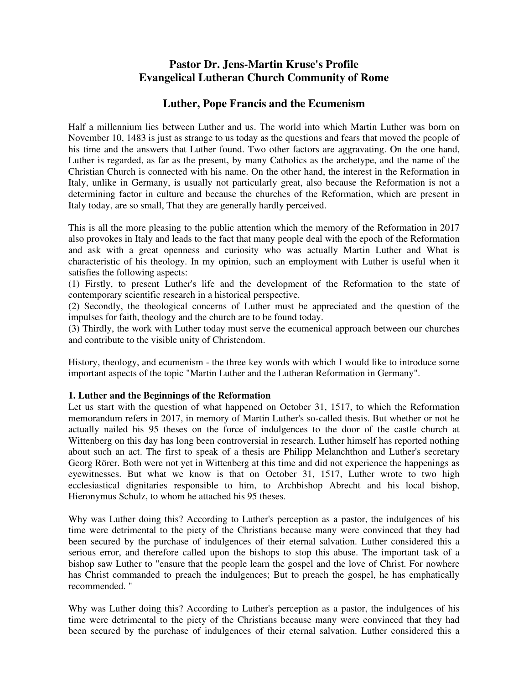# **Pastor Dr. Jens-Martin Kruse's Profile Evangelical Lutheran Church Community of Rome**

# **Luther, Pope Francis and the Ecumenism**

Half a millennium lies between Luther and us. The world into which Martin Luther was born on November 10, 1483 is just as strange to us today as the questions and fears that moved the people of his time and the answers that Luther found. Two other factors are aggravating. On the one hand, Luther is regarded, as far as the present, by many Catholics as the archetype, and the name of the Christian Church is connected with his name. On the other hand, the interest in the Reformation in Italy, unlike in Germany, is usually not particularly great, also because the Reformation is not a determining factor in culture and because the churches of the Reformation, which are present in Italy today, are so small, That they are generally hardly perceived.

This is all the more pleasing to the public attention which the memory of the Reformation in 2017 also provokes in Italy and leads to the fact that many people deal with the epoch of the Reformation and ask with a great openness and curiosity who was actually Martin Luther and What is characteristic of his theology. In my opinion, such an employment with Luther is useful when it satisfies the following aspects:

(1) Firstly, to present Luther's life and the development of the Reformation to the state of contemporary scientific research in a historical perspective.

(2) Secondly, the theological concerns of Luther must be appreciated and the question of the impulses for faith, theology and the church are to be found today.

(3) Thirdly, the work with Luther today must serve the ecumenical approach between our churches and contribute to the visible unity of Christendom.

History, theology, and ecumenism - the three key words with which I would like to introduce some important aspects of the topic "Martin Luther and the Lutheran Reformation in Germany".

### **1. Luther and the Beginnings of the Reformation**

Let us start with the question of what happened on October 31, 1517, to which the Reformation memorandum refers in 2017, in memory of Martin Luther's so-called thesis. But whether or not he actually nailed his 95 theses on the force of indulgences to the door of the castle church at Wittenberg on this day has long been controversial in research. Luther himself has reported nothing about such an act. The first to speak of a thesis are Philipp Melanchthon and Luther's secretary Georg Rörer. Both were not yet in Wittenberg at this time and did not experience the happenings as eyewitnesses. But what we know is that on October 31, 1517, Luther wrote to two high ecclesiastical dignitaries responsible to him, to Archbishop Abrecht and his local bishop, Hieronymus Schulz, to whom he attached his 95 theses.

Why was Luther doing this? According to Luther's perception as a pastor, the indulgences of his time were detrimental to the piety of the Christians because many were convinced that they had been secured by the purchase of indulgences of their eternal salvation. Luther considered this a serious error, and therefore called upon the bishops to stop this abuse. The important task of a bishop saw Luther to "ensure that the people learn the gospel and the love of Christ. For nowhere has Christ commanded to preach the indulgences; But to preach the gospel, he has emphatically recommended. "

Why was Luther doing this? According to Luther's perception as a pastor, the indulgences of his time were detrimental to the piety of the Christians because many were convinced that they had been secured by the purchase of indulgences of their eternal salvation. Luther considered this a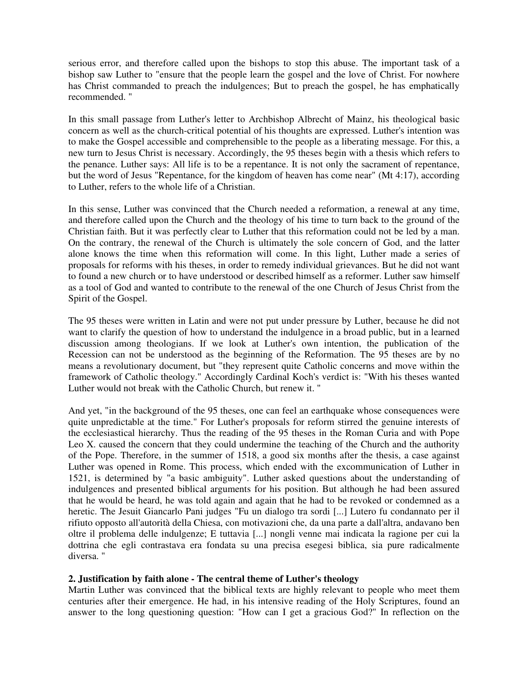serious error, and therefore called upon the bishops to stop this abuse. The important task of a bishop saw Luther to "ensure that the people learn the gospel and the love of Christ. For nowhere has Christ commanded to preach the indulgences; But to preach the gospel, he has emphatically recommended. "

In this small passage from Luther's letter to Archbishop Albrecht of Mainz, his theological basic concern as well as the church-critical potential of his thoughts are expressed. Luther's intention was to make the Gospel accessible and comprehensible to the people as a liberating message. For this, a new turn to Jesus Christ is necessary. Accordingly, the 95 theses begin with a thesis which refers to the penance. Luther says: All life is to be a repentance. It is not only the sacrament of repentance, but the word of Jesus "Repentance, for the kingdom of heaven has come near" (Mt 4:17), according to Luther, refers to the whole life of a Christian.

In this sense, Luther was convinced that the Church needed a reformation, a renewal at any time, and therefore called upon the Church and the theology of his time to turn back to the ground of the Christian faith. But it was perfectly clear to Luther that this reformation could not be led by a man. On the contrary, the renewal of the Church is ultimately the sole concern of God, and the latter alone knows the time when this reformation will come. In this light, Luther made a series of proposals for reforms with his theses, in order to remedy individual grievances. But he did not want to found a new church or to have understood or described himself as a reformer. Luther saw himself as a tool of God and wanted to contribute to the renewal of the one Church of Jesus Christ from the Spirit of the Gospel.

The 95 theses were written in Latin and were not put under pressure by Luther, because he did not want to clarify the question of how to understand the indulgence in a broad public, but in a learned discussion among theologians. If we look at Luther's own intention, the publication of the Recession can not be understood as the beginning of the Reformation. The 95 theses are by no means a revolutionary document, but "they represent quite Catholic concerns and move within the framework of Catholic theology." Accordingly Cardinal Koch's verdict is: "With his theses wanted Luther would not break with the Catholic Church, but renew it. "

And yet, "in the background of the 95 theses, one can feel an earthquake whose consequences were quite unpredictable at the time." For Luther's proposals for reform stirred the genuine interests of the ecclesiastical hierarchy. Thus the reading of the 95 theses in the Roman Curia and with Pope Leo X. caused the concern that they could undermine the teaching of the Church and the authority of the Pope. Therefore, in the summer of 1518, a good six months after the thesis, a case against Luther was opened in Rome. This process, which ended with the excommunication of Luther in 1521, is determined by "a basic ambiguity". Luther asked questions about the understanding of indulgences and presented biblical arguments for his position. But although he had been assured that he would be heard, he was told again and again that he had to be revoked or condemned as a heretic. The Jesuit Giancarlo Pani judges "Fu un dialogo tra sordi [...] Lutero fu condannato per il rifiuto opposto all'autorità della Chiesa, con motivazioni che, da una parte a dall'altra, andavano ben oltre il problema delle indulgenze; E tuttavia [...] nongli venne mai indicata la ragione per cui la dottrina che egli contrastava era fondata su una precisa esegesi biblica, sia pure radicalmente diversa. "

### **2. Justification by faith alone - The central theme of Luther's theology**

Martin Luther was convinced that the biblical texts are highly relevant to people who meet them centuries after their emergence. He had, in his intensive reading of the Holy Scriptures, found an answer to the long questioning question: "How can I get a gracious God?" In reflection on the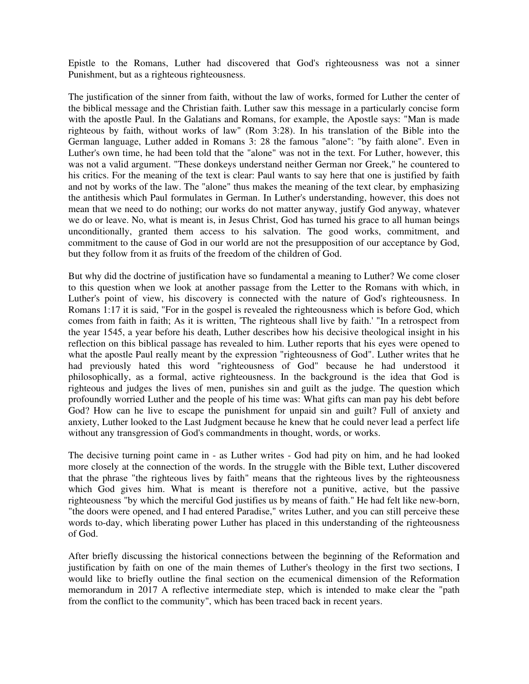Epistle to the Romans, Luther had discovered that God's righteousness was not a sinner Punishment, but as a righteous righteousness.

The justification of the sinner from faith, without the law of works, formed for Luther the center of the biblical message and the Christian faith. Luther saw this message in a particularly concise form with the apostle Paul. In the Galatians and Romans, for example, the Apostle says: "Man is made righteous by faith, without works of law" (Rom 3:28). In his translation of the Bible into the German language, Luther added in Romans 3: 28 the famous "alone": "by faith alone". Even in Luther's own time, he had been told that the "alone" was not in the text. For Luther, however, this was not a valid argument. "These donkeys understand neither German nor Greek," he countered to his critics. For the meaning of the text is clear: Paul wants to say here that one is justified by faith and not by works of the law. The "alone" thus makes the meaning of the text clear, by emphasizing the antithesis which Paul formulates in German. In Luther's understanding, however, this does not mean that we need to do nothing; our works do not matter anyway, justify God anyway, whatever we do or leave. No, what is meant is, in Jesus Christ, God has turned his grace to all human beings unconditionally, granted them access to his salvation. The good works, commitment, and commitment to the cause of God in our world are not the presupposition of our acceptance by God, but they follow from it as fruits of the freedom of the children of God.

But why did the doctrine of justification have so fundamental a meaning to Luther? We come closer to this question when we look at another passage from the Letter to the Romans with which, in Luther's point of view, his discovery is connected with the nature of God's righteousness. In Romans 1:17 it is said, "For in the gospel is revealed the righteousness which is before God, which comes from faith in faith; As it is written, 'The righteous shall live by faith.' "In a retrospect from the year 1545, a year before his death, Luther describes how his decisive theological insight in his reflection on this biblical passage has revealed to him. Luther reports that his eyes were opened to what the apostle Paul really meant by the expression "righteousness of God". Luther writes that he had previously hated this word "righteousness of God" because he had understood it philosophically, as a formal, active righteousness. In the background is the idea that God is righteous and judges the lives of men, punishes sin and guilt as the judge. The question which profoundly worried Luther and the people of his time was: What gifts can man pay his debt before God? How can he live to escape the punishment for unpaid sin and guilt? Full of anxiety and anxiety, Luther looked to the Last Judgment because he knew that he could never lead a perfect life without any transgression of God's commandments in thought, words, or works.

The decisive turning point came in - as Luther writes - God had pity on him, and he had looked more closely at the connection of the words. In the struggle with the Bible text, Luther discovered that the phrase "the righteous lives by faith" means that the righteous lives by the righteousness which God gives him. What is meant is therefore not a punitive, active, but the passive righteousness "by which the merciful God justifies us by means of faith." He had felt like new-born, "the doors were opened, and I had entered Paradise," writes Luther, and you can still perceive these words to-day, which liberating power Luther has placed in this understanding of the righteousness of God.

After briefly discussing the historical connections between the beginning of the Reformation and justification by faith on one of the main themes of Luther's theology in the first two sections, I would like to briefly outline the final section on the ecumenical dimension of the Reformation memorandum in 2017 A reflective intermediate step, which is intended to make clear the "path from the conflict to the community", which has been traced back in recent years.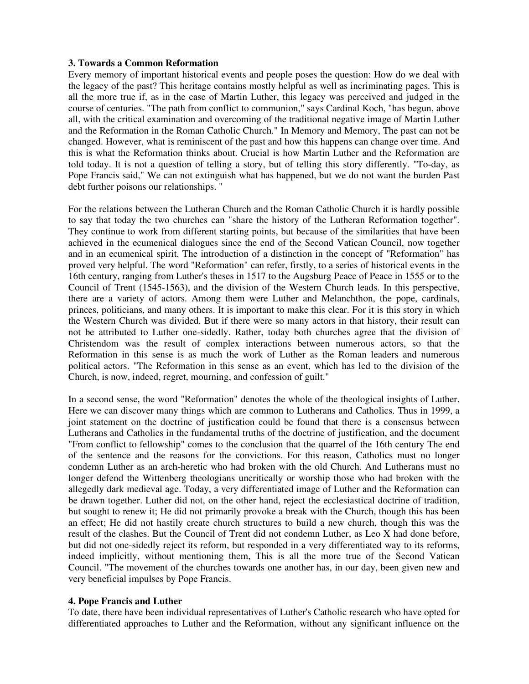### **3. Towards a Common Reformation**

Every memory of important historical events and people poses the question: How do we deal with the legacy of the past? This heritage contains mostly helpful as well as incriminating pages. This is all the more true if, as in the case of Martin Luther, this legacy was perceived and judged in the course of centuries. "The path from conflict to communion," says Cardinal Koch, "has begun, above all, with the critical examination and overcoming of the traditional negative image of Martin Luther and the Reformation in the Roman Catholic Church." In Memory and Memory, The past can not be changed. However, what is reminiscent of the past and how this happens can change over time. And this is what the Reformation thinks about. Crucial is how Martin Luther and the Reformation are told today. It is not a question of telling a story, but of telling this story differently. "To-day, as Pope Francis said," We can not extinguish what has happened, but we do not want the burden Past debt further poisons our relationships. "

For the relations between the Lutheran Church and the Roman Catholic Church it is hardly possible to say that today the two churches can "share the history of the Lutheran Reformation together". They continue to work from different starting points, but because of the similarities that have been achieved in the ecumenical dialogues since the end of the Second Vatican Council, now together and in an ecumenical spirit. The introduction of a distinction in the concept of "Reformation" has proved very helpful. The word "Reformation" can refer, firstly, to a series of historical events in the 16th century, ranging from Luther's theses in 1517 to the Augsburg Peace of Peace in 1555 or to the Council of Trent (1545-1563), and the division of the Western Church leads. In this perspective, there are a variety of actors. Among them were Luther and Melanchthon, the pope, cardinals, princes, politicians, and many others. It is important to make this clear. For it is this story in which the Western Church was divided. But if there were so many actors in that history, their result can not be attributed to Luther one-sidedly. Rather, today both churches agree that the division of Christendom was the result of complex interactions between numerous actors, so that the Reformation in this sense is as much the work of Luther as the Roman leaders and numerous political actors. "The Reformation in this sense as an event, which has led to the division of the Church, is now, indeed, regret, mourning, and confession of guilt."

In a second sense, the word "Reformation" denotes the whole of the theological insights of Luther. Here we can discover many things which are common to Lutherans and Catholics. Thus in 1999, a joint statement on the doctrine of justification could be found that there is a consensus between Lutherans and Catholics in the fundamental truths of the doctrine of justification, and the document "From conflict to fellowship" comes to the conclusion that the quarrel of the 16th century The end of the sentence and the reasons for the convictions. For this reason, Catholics must no longer condemn Luther as an arch-heretic who had broken with the old Church. And Lutherans must no longer defend the Wittenberg theologians uncritically or worship those who had broken with the allegedly dark medieval age. Today, a very differentiated image of Luther and the Reformation can be drawn together. Luther did not, on the other hand, reject the ecclesiastical doctrine of tradition, but sought to renew it; He did not primarily provoke a break with the Church, though this has been an effect; He did not hastily create church structures to build a new church, though this was the result of the clashes. But the Council of Trent did not condemn Luther, as Leo X had done before, but did not one-sidedly reject its reform, but responded in a very differentiated way to its reforms, indeed implicitly, without mentioning them, This is all the more true of the Second Vatican Council. "The movement of the churches towards one another has, in our day, been given new and very beneficial impulses by Pope Francis.

### **4. Pope Francis and Luther**

To date, there have been individual representatives of Luther's Catholic research who have opted for differentiated approaches to Luther and the Reformation, without any significant influence on the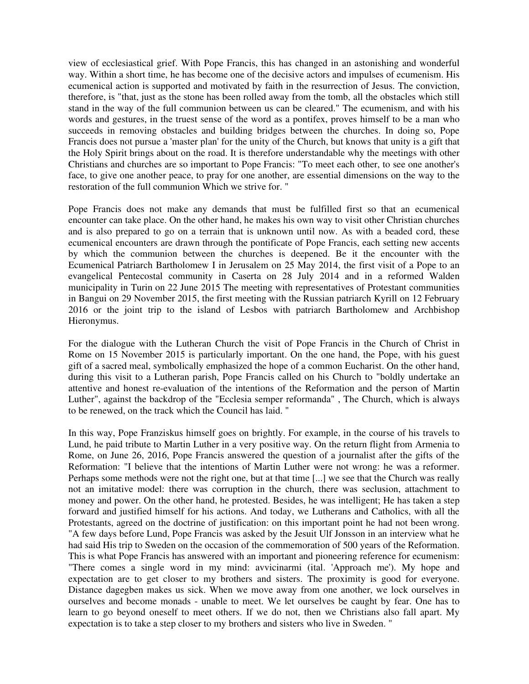view of ecclesiastical grief. With Pope Francis, this has changed in an astonishing and wonderful way. Within a short time, he has become one of the decisive actors and impulses of ecumenism. His ecumenical action is supported and motivated by faith in the resurrection of Jesus. The conviction, therefore, is "that, just as the stone has been rolled away from the tomb, all the obstacles which still stand in the way of the full communion between us can be cleared." The ecumenism, and with his words and gestures, in the truest sense of the word as a pontifex, proves himself to be a man who succeeds in removing obstacles and building bridges between the churches. In doing so, Pope Francis does not pursue a 'master plan' for the unity of the Church, but knows that unity is a gift that the Holy Spirit brings about on the road. It is therefore understandable why the meetings with other Christians and churches are so important to Pope Francis: "To meet each other, to see one another's face, to give one another peace, to pray for one another, are essential dimensions on the way to the restoration of the full communion Which we strive for. "

Pope Francis does not make any demands that must be fulfilled first so that an ecumenical encounter can take place. On the other hand, he makes his own way to visit other Christian churches and is also prepared to go on a terrain that is unknown until now. As with a beaded cord, these ecumenical encounters are drawn through the pontificate of Pope Francis, each setting new accents by which the communion between the churches is deepened. Be it the encounter with the Ecumenical Patriarch Bartholomew I in Jerusalem on 25 May 2014, the first visit of a Pope to an evangelical Pentecostal community in Caserta on 28 July 2014 and in a reformed Walden municipality in Turin on 22 June 2015 The meeting with representatives of Protestant communities in Bangui on 29 November 2015, the first meeting with the Russian patriarch Kyrill on 12 February 2016 or the joint trip to the island of Lesbos with patriarch Bartholomew and Archbishop Hieronymus.

For the dialogue with the Lutheran Church the visit of Pope Francis in the Church of Christ in Rome on 15 November 2015 is particularly important. On the one hand, the Pope, with his guest gift of a sacred meal, symbolically emphasized the hope of a common Eucharist. On the other hand, during this visit to a Lutheran parish, Pope Francis called on his Church to "boldly undertake an attentive and honest re-evaluation of the intentions of the Reformation and the person of Martin Luther", against the backdrop of the "Ecclesia semper reformanda" , The Church, which is always to be renewed, on the track which the Council has laid. "

In this way, Pope Franziskus himself goes on brightly. For example, in the course of his travels to Lund, he paid tribute to Martin Luther in a very positive way. On the return flight from Armenia to Rome, on June 26, 2016, Pope Francis answered the question of a journalist after the gifts of the Reformation: "I believe that the intentions of Martin Luther were not wrong: he was a reformer. Perhaps some methods were not the right one, but at that time [...] we see that the Church was really not an imitative model: there was corruption in the church, there was seclusion, attachment to money and power. On the other hand, he protested. Besides, he was intelligent; He has taken a step forward and justified himself for his actions. And today, we Lutherans and Catholics, with all the Protestants, agreed on the doctrine of justification: on this important point he had not been wrong. "A few days before Lund, Pope Francis was asked by the Jesuit Ulf Jonsson in an interview what he had said His trip to Sweden on the occasion of the commemoration of 500 years of the Reformation. This is what Pope Francis has answered with an important and pioneering reference for ecumenism: "There comes a single word in my mind: avvicinarmi (ital. 'Approach me'). My hope and expectation are to get closer to my brothers and sisters. The proximity is good for everyone. Distance dagegben makes us sick. When we move away from one another, we lock ourselves in ourselves and become monads - unable to meet. We let ourselves be caught by fear. One has to learn to go beyond oneself to meet others. If we do not, then we Christians also fall apart. My expectation is to take a step closer to my brothers and sisters who live in Sweden. "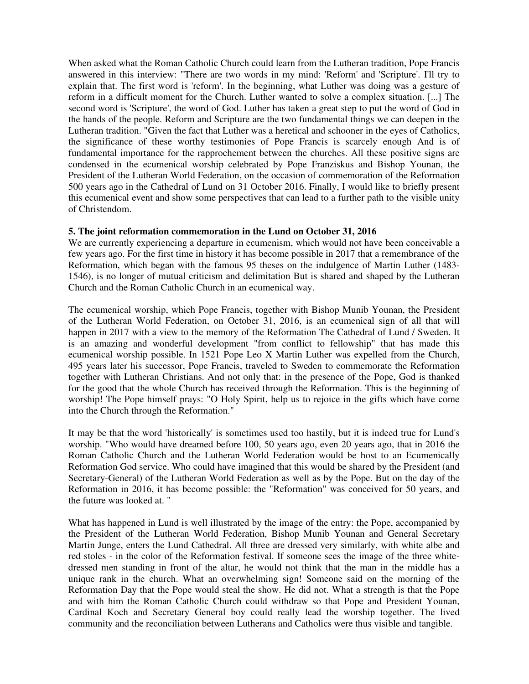When asked what the Roman Catholic Church could learn from the Lutheran tradition, Pope Francis answered in this interview: "There are two words in my mind: 'Reform' and 'Scripture'. I'll try to explain that. The first word is 'reform'. In the beginning, what Luther was doing was a gesture of reform in a difficult moment for the Church. Luther wanted to solve a complex situation. [...] The second word is 'Scripture', the word of God. Luther has taken a great step to put the word of God in the hands of the people. Reform and Scripture are the two fundamental things we can deepen in the Lutheran tradition. "Given the fact that Luther was a heretical and schooner in the eyes of Catholics, the significance of these worthy testimonies of Pope Francis is scarcely enough And is of fundamental importance for the rapprochement between the churches. All these positive signs are condensed in the ecumenical worship celebrated by Pope Franziskus and Bishop Younan, the President of the Lutheran World Federation, on the occasion of commemoration of the Reformation 500 years ago in the Cathedral of Lund on 31 October 2016. Finally, I would like to briefly present this ecumenical event and show some perspectives that can lead to a further path to the visible unity of Christendom.

### **5. The joint reformation commemoration in the Lund on October 31, 2016**

We are currently experiencing a departure in ecumenism, which would not have been conceivable a few years ago. For the first time in history it has become possible in 2017 that a remembrance of the Reformation, which began with the famous 95 theses on the indulgence of Martin Luther (1483- 1546), is no longer of mutual criticism and delimitation But is shared and shaped by the Lutheran Church and the Roman Catholic Church in an ecumenical way.

The ecumenical worship, which Pope Francis, together with Bishop Munib Younan, the President of the Lutheran World Federation, on October 31, 2016, is an ecumenical sign of all that will happen in 2017 with a view to the memory of the Reformation The Cathedral of Lund / Sweden. It is an amazing and wonderful development "from conflict to fellowship" that has made this ecumenical worship possible. In 1521 Pope Leo X Martin Luther was expelled from the Church, 495 years later his successor, Pope Francis, traveled to Sweden to commemorate the Reformation together with Lutheran Christians. And not only that: in the presence of the Pope, God is thanked for the good that the whole Church has received through the Reformation. This is the beginning of worship! The Pope himself prays: "O Holy Spirit, help us to rejoice in the gifts which have come into the Church through the Reformation."

It may be that the word 'historically' is sometimes used too hastily, but it is indeed true for Lund's worship. "Who would have dreamed before 100, 50 years ago, even 20 years ago, that in 2016 the Roman Catholic Church and the Lutheran World Federation would be host to an Ecumenically Reformation God service. Who could have imagined that this would be shared by the President (and Secretary-General) of the Lutheran World Federation as well as by the Pope. But on the day of the Reformation in 2016, it has become possible: the "Reformation" was conceived for 50 years, and the future was looked at. "

What has happened in Lund is well illustrated by the image of the entry: the Pope, accompanied by the President of the Lutheran World Federation, Bishop Munib Younan and General Secretary Martin Junge, enters the Lund Cathedral. All three are dressed very similarly, with white albe and red stoles - in the color of the Reformation festival. If someone sees the image of the three whitedressed men standing in front of the altar, he would not think that the man in the middle has a unique rank in the church. What an overwhelming sign! Someone said on the morning of the Reformation Day that the Pope would steal the show. He did not. What a strength is that the Pope and with him the Roman Catholic Church could withdraw so that Pope and President Younan, Cardinal Koch and Secretary General boy could really lead the worship together. The lived community and the reconciliation between Lutherans and Catholics were thus visible and tangible.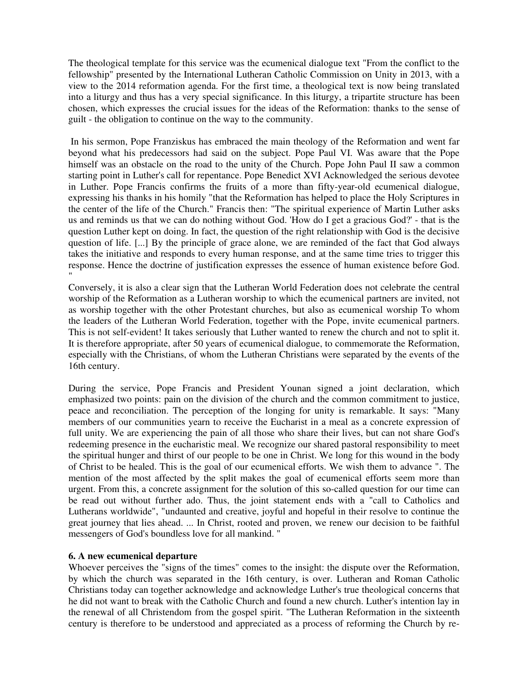The theological template for this service was the ecumenical dialogue text "From the conflict to the fellowship" presented by the International Lutheran Catholic Commission on Unity in 2013, with a view to the 2014 reformation agenda. For the first time, a theological text is now being translated into a liturgy and thus has a very special significance. In this liturgy, a tripartite structure has been chosen, which expresses the crucial issues for the ideas of the Reformation: thanks to the sense of guilt - the obligation to continue on the way to the community.

 In his sermon, Pope Franziskus has embraced the main theology of the Reformation and went far beyond what his predecessors had said on the subject. Pope Paul VI. Was aware that the Pope himself was an obstacle on the road to the unity of the Church. Pope John Paul II saw a common starting point in Luther's call for repentance. Pope Benedict XVI Acknowledged the serious devotee in Luther. Pope Francis confirms the fruits of a more than fifty-year-old ecumenical dialogue, expressing his thanks in his homily "that the Reformation has helped to place the Holy Scriptures in the center of the life of the Church." Francis then: "The spiritual experience of Martin Luther asks us and reminds us that we can do nothing without God. 'How do I get a gracious God?' - that is the question Luther kept on doing. In fact, the question of the right relationship with God is the decisive question of life. [...] By the principle of grace alone, we are reminded of the fact that God always takes the initiative and responds to every human response, and at the same time tries to trigger this response. Hence the doctrine of justification expresses the essence of human existence before God. "

Conversely, it is also a clear sign that the Lutheran World Federation does not celebrate the central worship of the Reformation as a Lutheran worship to which the ecumenical partners are invited, not as worship together with the other Protestant churches, but also as ecumenical worship To whom the leaders of the Lutheran World Federation, together with the Pope, invite ecumenical partners. This is not self-evident! It takes seriously that Luther wanted to renew the church and not to split it. It is therefore appropriate, after 50 years of ecumenical dialogue, to commemorate the Reformation, especially with the Christians, of whom the Lutheran Christians were separated by the events of the 16th century.

During the service, Pope Francis and President Younan signed a joint declaration, which emphasized two points: pain on the division of the church and the common commitment to justice, peace and reconciliation. The perception of the longing for unity is remarkable. It says: "Many members of our communities yearn to receive the Eucharist in a meal as a concrete expression of full unity. We are experiencing the pain of all those who share their lives, but can not share God's redeeming presence in the eucharistic meal. We recognize our shared pastoral responsibility to meet the spiritual hunger and thirst of our people to be one in Christ. We long for this wound in the body of Christ to be healed. This is the goal of our ecumenical efforts. We wish them to advance ". The mention of the most affected by the split makes the goal of ecumenical efforts seem more than urgent. From this, a concrete assignment for the solution of this so-called question for our time can be read out without further ado. Thus, the joint statement ends with a "call to Catholics and Lutherans worldwide", "undaunted and creative, joyful and hopeful in their resolve to continue the great journey that lies ahead. ... In Christ, rooted and proven, we renew our decision to be faithful messengers of God's boundless love for all mankind. "

### **6. A new ecumenical departure**

Whoever perceives the "signs of the times" comes to the insight: the dispute over the Reformation, by which the church was separated in the 16th century, is over. Lutheran and Roman Catholic Christians today can together acknowledge and acknowledge Luther's true theological concerns that he did not want to break with the Catholic Church and found a new church. Luther's intention lay in the renewal of all Christendom from the gospel spirit. "The Lutheran Reformation in the sixteenth century is therefore to be understood and appreciated as a process of reforming the Church by re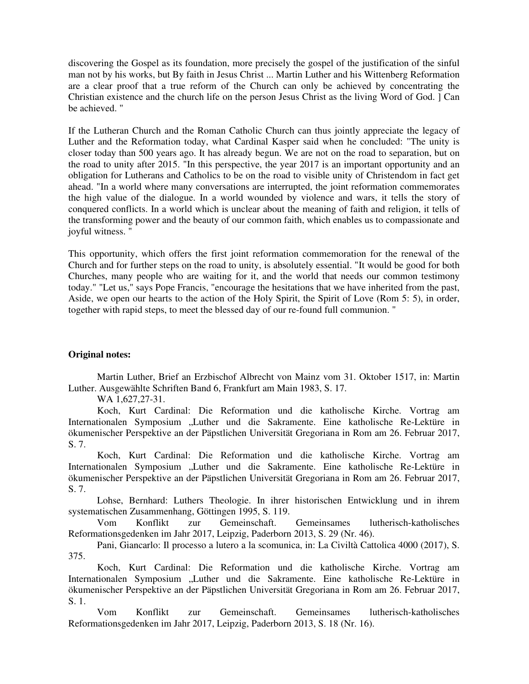discovering the Gospel as its foundation, more precisely the gospel of the justification of the sinful man not by his works, but By faith in Jesus Christ ... Martin Luther and his Wittenberg Reformation are a clear proof that a true reform of the Church can only be achieved by concentrating the Christian existence and the church life on the person Jesus Christ as the living Word of God. ] Can be achieved. "

If the Lutheran Church and the Roman Catholic Church can thus jointly appreciate the legacy of Luther and the Reformation today, what Cardinal Kasper said when he concluded: "The unity is closer today than 500 years ago. It has already begun. We are not on the road to separation, but on the road to unity after 2015. "In this perspective, the year 2017 is an important opportunity and an obligation for Lutherans and Catholics to be on the road to visible unity of Christendom in fact get ahead. "In a world where many conversations are interrupted, the joint reformation commemorates the high value of the dialogue. In a world wounded by violence and wars, it tells the story of conquered conflicts. In a world which is unclear about the meaning of faith and religion, it tells of the transforming power and the beauty of our common faith, which enables us to compassionate and joyful witness. "

This opportunity, which offers the first joint reformation commemoration for the renewal of the Church and for further steps on the road to unity, is absolutely essential. "It would be good for both Churches, many people who are waiting for it, and the world that needs our common testimony today." "Let us," says Pope Francis, "encourage the hesitations that we have inherited from the past, Aside, we open our hearts to the action of the Holy Spirit, the Spirit of Love (Rom 5: 5), in order, together with rapid steps, to meet the blessed day of our re-found full communion. "

### **Original notes:**

 Martin Luther, Brief an Erzbischof Albrecht von Mainz vom 31. Oktober 1517, in: Martin Luther. Ausgewählte Schriften Band 6, Frankfurt am Main 1983, S. 17.

WA 1,627,27-31.

 Koch, Kurt Cardinal: Die Reformation und die katholische Kirche. Vortrag am Internationalen Symposium "Luther und die Sakramente. Eine katholische Re-Lektüre in ökumenischer Perspektive an der Päpstlichen Universität Gregoriana in Rom am 26. Februar 2017, S. 7.

 Koch, Kurt Cardinal: Die Reformation und die katholische Kirche. Vortrag am Internationalen Symposium "Luther und die Sakramente. Eine katholische Re-Lektüre in ökumenischer Perspektive an der Päpstlichen Universität Gregoriana in Rom am 26. Februar 2017, S. 7.

 Lohse, Bernhard: Luthers Theologie. In ihrer historischen Entwicklung und in ihrem systematischen Zusammenhang, Göttingen 1995, S. 119.

 Vom Konflikt zur Gemeinschaft. Gemeinsames lutherisch-katholisches Reformationsgedenken im Jahr 2017, Leipzig, Paderborn 2013, S. 29 (Nr. 46).

 Pani, Giancarlo: Il processo a lutero a la scomunica, in: La Civiltà Cattolica 4000 (2017), S. 375.

 Koch, Kurt Cardinal: Die Reformation und die katholische Kirche. Vortrag am Internationalen Symposium "Luther und die Sakramente. Eine katholische Re-Lektüre in ökumenischer Perspektive an der Päpstlichen Universität Gregoriana in Rom am 26. Februar 2017, S. 1.

 Vom Konflikt zur Gemeinschaft. Gemeinsames lutherisch-katholisches Reformationsgedenken im Jahr 2017, Leipzig, Paderborn 2013, S. 18 (Nr. 16).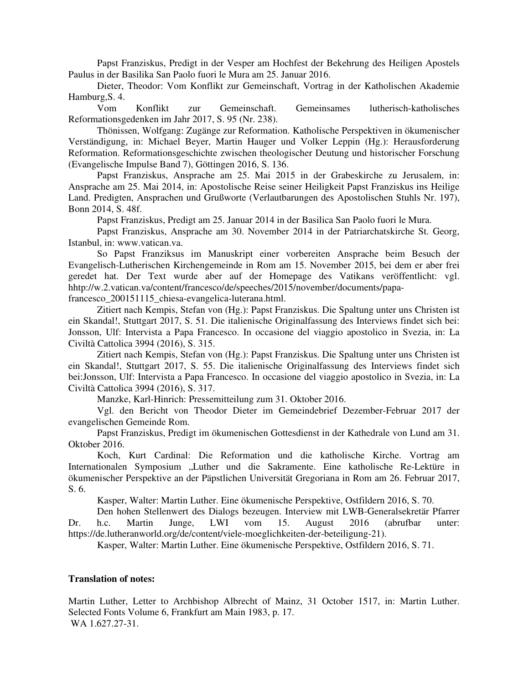Papst Franziskus, Predigt in der Vesper am Hochfest der Bekehrung des Heiligen Apostels Paulus in der Basilika San Paolo fuori le Mura am 25. Januar 2016.

 Dieter, Theodor: Vom Konflikt zur Gemeinschaft, Vortrag in der Katholischen Akademie Hamburg,S. 4.

 Vom Konflikt zur Gemeinschaft. Gemeinsames lutherisch-katholisches Reformationsgedenken im Jahr 2017, S. 95 (Nr. 238).

 Thönissen, Wolfgang: Zugänge zur Reformation. Katholische Perspektiven in ökumenischer Verständigung, in: Michael Beyer, Martin Hauger und Volker Leppin (Hg.): Herausforderung Reformation. Reformationsgeschichte zwischen theologischer Deutung und historischer Forschung (Evangelische Impulse Band 7), Göttingen 2016, S. 136.

 Papst Franziskus, Ansprache am 25. Mai 2015 in der Grabeskirche zu Jerusalem, in: Ansprache am 25. Mai 2014, in: Apostolische Reise seiner Heiligkeit Papst Franziskus ins Heilige Land. Predigten, Ansprachen und Grußworte (Verlautbarungen des Apostolischen Stuhls Nr. 197), Bonn 2014, S. 48f.

Papst Franziskus, Predigt am 25. Januar 2014 in der Basilica San Paolo fuori le Mura.

 Papst Franziskus, Ansprache am 30. November 2014 in der Patriarchatskirche St. Georg, Istanbul, in: www.vatican.va.

 So Papst Franziksus im Manuskript einer vorbereiten Ansprache beim Besuch der Evangelisch-Lutherischen Kirchengemeinde in Rom am 15. November 2015, bei dem er aber frei geredet hat. Der Text wurde aber auf der Homepage des Vatikans veröffentlicht: vgl. hhtp://w.2.vatican.va/content/francesco/de/speeches/2015/november/documents/papa-

francesco\_200151115\_chiesa-evangelica-luterana.html.

 Zitiert nach Kempis, Stefan von (Hg.): Papst Franziskus. Die Spaltung unter uns Christen ist ein Skandal!, Stuttgart 2017, S. 51. Die italienische Originalfassung des Interviews findet sich bei: Jonsson, Ulf: Intervista a Papa Francesco. In occasione del viaggio apostolico in Svezia, in: La Civiltà Cattolica 3994 (2016), S. 315.

 Zitiert nach Kempis, Stefan von (Hg.): Papst Franziskus. Die Spaltung unter uns Christen ist ein Skandal!, Stuttgart 2017, S. 55. Die italienische Originalfassung des Interviews findet sich bei:Jonsson, Ulf: Intervista a Papa Francesco. In occasione del viaggio apostolico in Svezia, in: La Civiltà Cattolica 3994 (2016), S. 317.

Manzke, Karl-Hinrich: Pressemitteilung zum 31. Oktober 2016.

 Vgl. den Bericht von Theodor Dieter im Gemeindebrief Dezember-Februar 2017 der evangelischen Gemeinde Rom.

 Papst Franziskus, Predigt im ökumenischen Gottesdienst in der Kathedrale von Lund am 31. Oktober 2016.

 Koch, Kurt Cardinal: Die Reformation und die katholische Kirche. Vortrag am Internationalen Symposium "Luther und die Sakramente. Eine katholische Re-Lektüre in ökumenischer Perspektive an der Päpstlichen Universität Gregoriana in Rom am 26. Februar 2017, S. 6.

Kasper, Walter: Martin Luther. Eine ökumenische Perspektive, Ostfildern 2016, S. 70.

 Den hohen Stellenwert des Dialogs bezeugen. Interview mit LWB-Generalsekretär Pfarrer Dr. h.c. Martin Junge, LWI vom 15. August 2016 (abrufbar unter: https://de.lutheranworld.org/de/content/viele-moeglichkeiten-der-beteiligung-21).

Kasper, Walter: Martin Luther. Eine ökumenische Perspektive, Ostfildern 2016, S. 71.

#### **Translation of notes:**

Martin Luther, Letter to Archbishop Albrecht of Mainz, 31 October 1517, in: Martin Luther. Selected Fonts Volume 6, Frankfurt am Main 1983, p. 17. WA 1.627.27-31.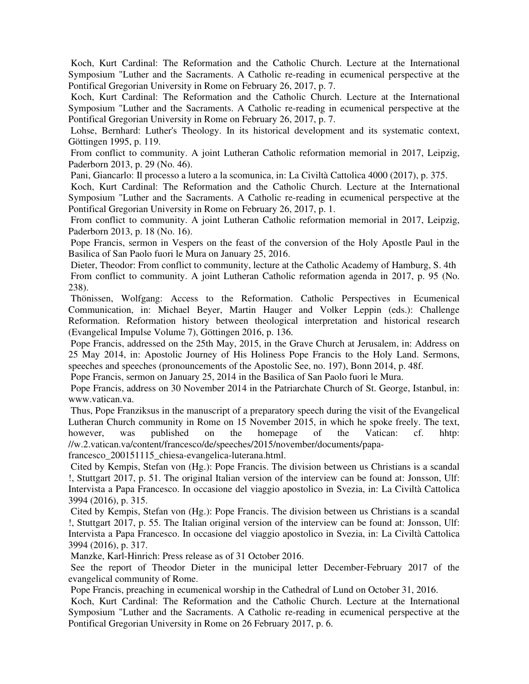Koch, Kurt Cardinal: The Reformation and the Catholic Church. Lecture at the International Symposium "Luther and the Sacraments. A Catholic re-reading in ecumenical perspective at the Pontifical Gregorian University in Rome on February 26, 2017, p. 7.

 Koch, Kurt Cardinal: The Reformation and the Catholic Church. Lecture at the International Symposium "Luther and the Sacraments. A Catholic re-reading in ecumenical perspective at the Pontifical Gregorian University in Rome on February 26, 2017, p. 7.

 Lohse, Bernhard: Luther's Theology. In its historical development and its systematic context, Göttingen 1995, p. 119.

 From conflict to community. A joint Lutheran Catholic reformation memorial in 2017, Leipzig, Paderborn 2013, p. 29 (No. 46).

Pani, Giancarlo: Il processo a lutero a la scomunica, in: La Civiltà Cattolica 4000 (2017), p. 375.

 Koch, Kurt Cardinal: The Reformation and the Catholic Church. Lecture at the International Symposium "Luther and the Sacraments. A Catholic re-reading in ecumenical perspective at the Pontifical Gregorian University in Rome on February 26, 2017, p. 1.

 From conflict to community. A joint Lutheran Catholic reformation memorial in 2017, Leipzig, Paderborn 2013, p. 18 (No. 16).

 Pope Francis, sermon in Vespers on the feast of the conversion of the Holy Apostle Paul in the Basilica of San Paolo fuori le Mura on January 25, 2016.

 Dieter, Theodor: From conflict to community, lecture at the Catholic Academy of Hamburg, S. 4th From conflict to community. A joint Lutheran Catholic reformation agenda in 2017, p. 95 (No. 238).

 Thönissen, Wolfgang: Access to the Reformation. Catholic Perspectives in Ecumenical Communication, in: Michael Beyer, Martin Hauger and Volker Leppin (eds.): Challenge Reformation. Reformation history between theological interpretation and historical research (Evangelical Impulse Volume 7), Göttingen 2016, p. 136.

 Pope Francis, addressed on the 25th May, 2015, in the Grave Church at Jerusalem, in: Address on 25 May 2014, in: Apostolic Journey of His Holiness Pope Francis to the Holy Land. Sermons, speeches and speeches (pronouncements of the Apostolic See, no. 197), Bonn 2014, p. 48f.

Pope Francis, sermon on January 25, 2014 in the Basilica of San Paolo fuori le Mura.

 Pope Francis, address on 30 November 2014 in the Patriarchate Church of St. George, Istanbul, in: www.vatican.va.

 Thus, Pope Franziksus in the manuscript of a preparatory speech during the visit of the Evangelical Lutheran Church community in Rome on 15 November 2015, in which he spoke freely. The text, however, was published on the homepage of the Vatican: cf. hhtp: //w.2.vatican.va/content/francesco/de/speeches/2015/november/documents/papa-

francesco\_200151115\_chiesa-evangelica-luterana.html.

 Cited by Kempis, Stefan von (Hg.): Pope Francis. The division between us Christians is a scandal !, Stuttgart 2017, p. 51. The original Italian version of the interview can be found at: Jonsson, Ulf: Intervista a Papa Francesco. In occasione del viaggio apostolico in Svezia, in: La Civiltà Cattolica 3994 (2016), p. 315.

 Cited by Kempis, Stefan von (Hg.): Pope Francis. The division between us Christians is a scandal !, Stuttgart 2017, p. 55. The Italian original version of the interview can be found at: Jonsson, Ulf: Intervista a Papa Francesco. In occasione del viaggio apostolico in Svezia, in: La Civiltà Cattolica 3994 (2016), p. 317.

Manzke, Karl-Hinrich: Press release as of 31 October 2016.

 See the report of Theodor Dieter in the municipal letter December-February 2017 of the evangelical community of Rome.

Pope Francis, preaching in ecumenical worship in the Cathedral of Lund on October 31, 2016.

 Koch, Kurt Cardinal: The Reformation and the Catholic Church. Lecture at the International Symposium "Luther and the Sacraments. A Catholic re-reading in ecumenical perspective at the Pontifical Gregorian University in Rome on 26 February 2017, p. 6.